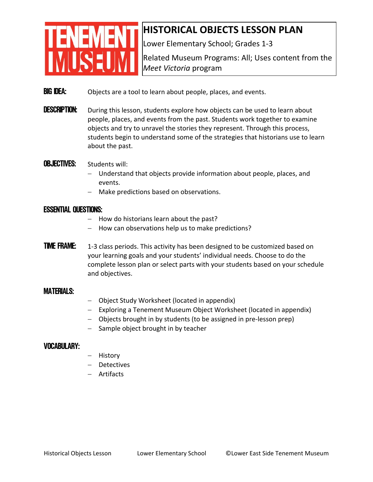# **ENEMENT MUSEUM**

### **HISTORICAL OBJECTS LESSON PLAN**

Lower Elementary School; Grades 1‐3

Related Museum Programs: All; Uses content from the *Meet Victoria* program

- **BIG IDEA:** Objects are a tool to learn about people, places, and events.
- **DESCRIPTION:** During this lesson, students explore how objects can be used to learn about people, places, and events from the past. Students work together to examine objects and try to unravel the stories they represent. Through this process, students begin to understand some of the strategies that historians use to learn about the past.

#### **OBJECTIVES:** Students will:

- Understand that objects provide information about people, places, and events.
- − Make predictions based on observations.

#### Essential Questions:

- − How do historians learn about the past?
- − How can observations help us to make predictions?
- **TIME FRAME:** 1-3 class periods. This activity has been designed to be customized based on your learning goals and your students' individual needs. Choose to do the complete lesson plan or select parts with your students based on your schedule and objectives.

#### MATERIALS:

- − Object Study Worksheet (located in appendix)
- − Exploring a Tenement Museum Object Worksheet (located in appendix)
- − Objects brought in by students (to be assigned in pre‐lesson prep)
- − Sample object brought in by teacher

#### Vocabulary:

- − History
- − Detectives
- − Artifacts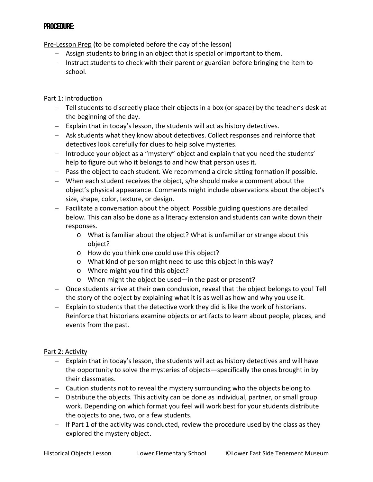#### Procedure:

Pre‐Lesson Prep (to be completed before the day of the lesson)

- − Assign students to bring in an object that is special or important to them.
- − Instruct students to check with their parent or guardian before bringing the item to school.

#### Part 1: Introduction

- − Tell students to discreetly place their objects in a box (or space) by the teacher's desk at the beginning of the day.
- − Explain that in today's lesson, the students will act as history detectives.
- − Ask students what they know about detectives. Collect responses and reinforce that detectives look carefully for clues to help solve mysteries.
- − Introduce your object as a "mystery" object and explain that you need the students' help to figure out who it belongs to and how that person uses it.
- − Pass the object to each student. We recommend a circle sitting formation if possible.
- − When each student receives the object, s/he should make a comment about the object's physical appearance. Comments might include observations about the object's size, shape, color, texture, or design.
- − Facilitate a conversation about the object. Possible guiding questions are detailed below. This can also be done as a literacy extension and students can write down their responses.
	- o What is familiar about the object? What is unfamiliar or strange about this object?
	- o How do you think one could use this object?
	- o What kind of person might need to use this object in this way?
	- o Where might you find this object?
	- o When might the object be used—in the past or present?
- − Once students arrive at their own conclusion, reveal that the object belongs to you! Tell the story of the object by explaining what it is as well as how and why you use it.
- − Explain to students that the detective work they did is like the work of historians. Reinforce that historians examine objects or artifacts to learn about people, places, and events from the past.

#### Part 2: Activity

- − Explain that in today's lesson, the students will act as history detectives and will have the opportunity to solve the mysteries of objects—specifically the ones brought in by their classmates.
- − Caution students not to reveal the mystery surrounding who the objects belong to.
- − Distribute the objects. This activity can be done as individual, partner, or small group work. Depending on which format you feel will work best for your students distribute the objects to one, two, or a few students.
- − If Part 1 of the activity was conducted, review the procedure used by the class as they explored the mystery object.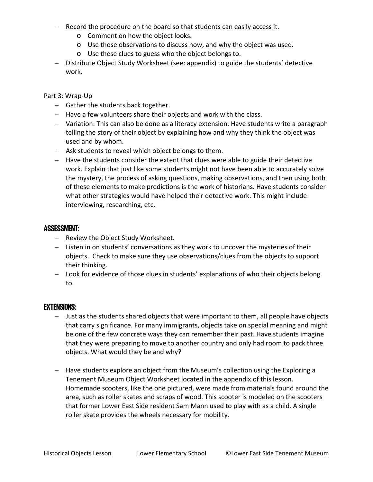- − Record the procedure on the board so that students can easily access it.
	- o Comment on how the object looks.
	- o Use those observations to discuss how, and why the object was used.
	- o Use these clues to guess who the object belongs to.
- − Distribute Object Study Worksheet (see: appendix) to guide the students' detective work.

#### Part 3: Wrap‐Up

- − Gather the students back together.
- − Have a few volunteers share their objects and work with the class.
- − Variation: This can also be done as a literacy extension. Have students write a paragraph telling the story of their object by explaining how and why they think the object was used and by whom.
- − Ask students to reveal which object belongs to them.
- − Have the students consider the extent that clues were able to guide their detective work. Explain that just like some students might not have been able to accurately solve the mystery, the process of asking questions, making observations, and then using both of these elements to make predictions is the work of historians. Have students consider what other strategies would have helped their detective work. This might include interviewing, researching, etc.

#### Assessment:

- − Review the Object Study Worksheet.
- − Listen in on students' conversations as they work to uncover the mysteries of their objects. Check to make sure they use observations/clues from the objects to support their thinking.
- − Look for evidence of those clues in students' explanations of who their objects belong to.

#### Extensions:

- − Just as the students shared objects that were important to them, all people have objects that carry significance. For many immigrants, objects take on special meaning and might be one of the few concrete ways they can remember their past. Have students imagine that they were preparing to move to another country and only had room to pack three objects. What would they be and why?
- − Have students explore an object from the Museum's collection using the Exploring a Tenement Museum Object Worksheet located in the appendix of this lesson. Homemade scooters, like the one pictured, were made from materials found around the area, such as roller skates and scraps of wood. This scooter is modeled on the scooters that former Lower East Side resident Sam Mann used to play with as a child. A single roller skate provides the wheels necessary for mobility.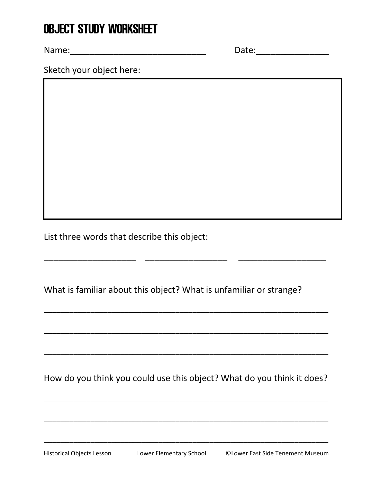## OBJECT STUDY WORKSHEET

Name:\_\_\_\_\_\_\_\_\_\_\_\_\_\_\_\_\_\_\_\_\_\_\_\_\_\_\_\_ Date:\_\_\_\_\_\_\_\_\_\_\_\_\_\_\_

Sketch your object here:

List three words that describe this object:

What is familiar about this object? What is unfamiliar or strange?

\_\_\_\_\_\_\_\_\_\_\_\_\_\_\_\_\_\_\_ \_\_\_\_\_\_\_\_\_\_\_\_\_\_\_\_\_ \_\_\_\_\_\_\_\_\_\_\_\_\_\_\_\_\_\_

How do you think you could use this object? What do you think it does?

\_\_\_\_\_\_\_\_\_\_\_\_\_\_\_\_\_\_\_\_\_\_\_\_\_\_\_\_\_\_\_\_\_\_\_\_\_\_\_\_\_\_\_\_\_\_\_\_\_\_\_\_\_\_\_\_\_\_\_\_\_\_\_\_\_\_\_

\_\_\_\_\_\_\_\_\_\_\_\_\_\_\_\_\_\_\_\_\_\_\_\_\_\_\_\_\_\_\_\_\_\_\_\_\_\_\_\_\_\_\_\_\_\_\_\_\_\_\_\_\_\_\_\_\_\_\_\_\_\_\_\_\_\_\_

\_\_\_\_\_\_\_\_\_\_\_\_\_\_\_\_\_\_\_\_\_\_\_\_\_\_\_\_\_\_\_\_\_\_\_\_\_\_\_\_\_\_\_\_\_\_\_\_\_\_\_\_\_\_\_\_\_\_\_\_\_\_\_\_\_\_\_

\_\_\_\_\_\_\_\_\_\_\_\_\_\_\_\_\_\_\_\_\_\_\_\_\_\_\_\_\_\_\_\_\_\_\_\_\_\_\_\_\_\_\_\_\_\_\_\_\_\_\_\_\_\_\_\_\_\_\_\_\_\_\_\_\_\_\_

\_\_\_\_\_\_\_\_\_\_\_\_\_\_\_\_\_\_\_\_\_\_\_\_\_\_\_\_\_\_\_\_\_\_\_\_\_\_\_\_\_\_\_\_\_\_\_\_\_\_\_\_\_\_\_\_\_\_\_\_\_\_\_\_\_\_\_

\_\_\_\_\_\_\_\_\_\_\_\_\_\_\_\_\_\_\_\_\_\_\_\_\_\_\_\_\_\_\_\_\_\_\_\_\_\_\_\_\_\_\_\_\_\_\_\_\_\_\_\_\_\_\_\_\_\_\_\_\_\_\_\_\_\_\_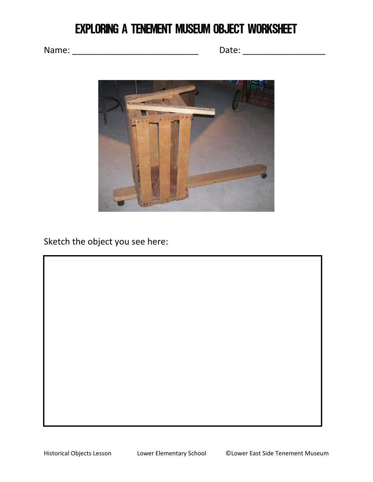## Exploring a Tenement Museum Object Worksheet

Name: \_\_\_\_\_\_\_\_\_\_\_\_\_\_\_\_\_\_\_\_\_\_\_\_\_\_ Date: \_\_\_\_\_\_\_\_\_\_\_\_\_\_\_\_\_



Sketch the object you see here: